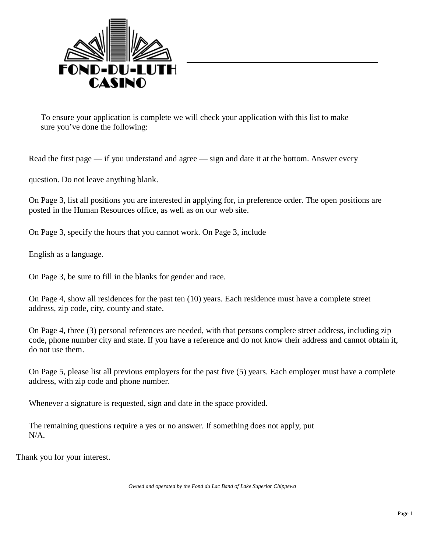

To ensure your application is complete we will check your application with this list to make sure you've done the following:

Read the first page — if you understand and agree — sign and date it at the bottom. Answer every

question. Do not leave anything blank.

On Page 3, list all positions you are interested in applying for, in preference order. The open positions are posted in the Human Resources office, as well as on our web site.

On Page 3, specify the hours that you cannot work. On Page 3, include

English as a language.

On Page 3, be sure to fill in the blanks for gender and race.

On Page 4, show all residences for the past ten (10) years. Each residence must have a complete street address, zip code, city, county and state.

On Page 4, three (3) personal references are needed, with that persons complete street address, including zip code, phone number city and state. If you have a reference and do not know their address and cannot obtain it, do not use them.

On Page 5, please list all previous employers for the past five (5) years. Each employer must have a complete address, with zip code and phone number.

Whenever a signature is requested, sign and date in the space provided.

The remaining questions require a yes or no answer. If something does not apply, put N/A.

Thank you for your interest.

*Owned and operated by the Fond du Lac Band of Lake Superior Chippewa*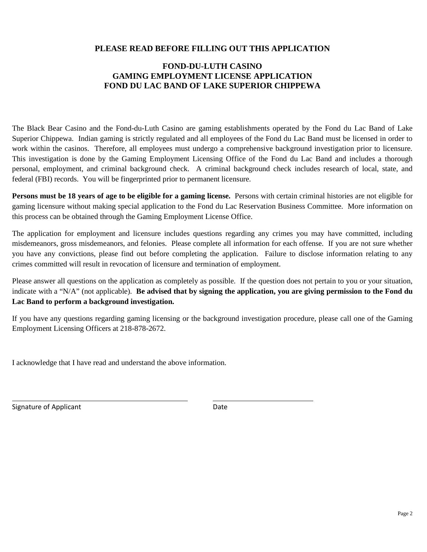## **PLEASE READ BEFORE FILLING OUT THIS APPLICATION**

## **FOND-DU-LUTH CASINO GAMING EMPLOYMENT LICENSE APPLICATION FOND DU LAC BAND OF LAKE SUPERIOR CHIPPEWA**

The Black Bear Casino and the Fond-du-Luth Casino are gaming establishments operated by the Fond du Lac Band of Lake Superior Chippewa. Indian gaming is strictly regulated and all employees of the Fond du Lac Band must be licensed in order to work within the casinos. Therefore, all employees must undergo a comprehensive background investigation prior to licensure. This investigation is done by the Gaming Employment Licensing Office of the Fond du Lac Band and includes a thorough personal, employment, and criminal background check. A criminal background check includes research of local, state, and federal (FBI) records. You will be fingerprinted prior to permanent licensure.

**Persons must be 18 years of age to be eligible for a gaming license.** Persons with certain criminal histories are not eligible for gaming licensure without making special application to the Fond du Lac Reservation Business Committee. More information on this process can be obtained through the Gaming Employment License Office.

The application for employment and licensure includes questions regarding any crimes you may have committed, including misdemeanors, gross misdemeanors, and felonies. Please complete all information for each offense. If you are not sure whether you have any convictions, please find out before completing the application. Failure to disclose information relating to any crimes committed will result in revocation of licensure and termination of employment.

Please answer all questions on the application as completely as possible. If the question does not pertain to you or your situation, indicate with a "N/A" (not applicable). **Be advised that by signing the application, you are giving permission to the Fond du Lac Band to perform a background investigation.**

If you have any questions regarding gaming licensing or the background investigation procedure, please call one of the Gaming Employment Licensing Officers at 218-878-2672.

I acknowledge that I have read and understand the above information.

Signature of Applicant Date Date Date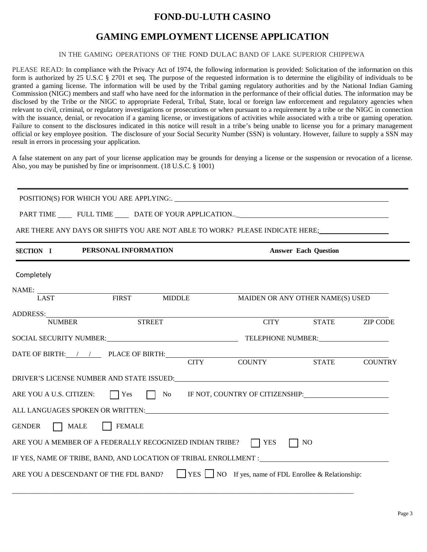# **FOND-DU-LUTH CASINO**

## **GAMING EMPLOYMENT LICENSE APPLICATION**

#### IN THE GAMING OPERATIONS OF THE FOND DULAC BAND OF LAKE SUPERIOR CHIPPEWA

PLEASE READ: In compliance with the Privacy Act of 1974, the following information is provided: Solicitation of the information on this form is authorized by 25 U.S.C § 2701 et seq. The purpose of the requested information is to determine the eligibility of individuals to be granted a gaming license. The information will be used by the Tribal gaming regulatory authorities and by the National Indian Gaming Commission (NIGC) members and staff who have need for the information in the performance of their official duties. The information may be disclosed by the Tribe or the NIGC to appropriate Federal, Tribal, State, local or foreign law enforcement and regulatory agencies when relevant to civil, criminal, or regulatory investigations or prosecutions or when pursuant to a requirement by a tribe or the NIGC in connection with the issuance, denial, or revocation if a gaming license, or investigations of activities while associated with a tribe or gaming operation. Failure to consent to the disclosures indicated in this notice will result in a tribe's being unable to license you for a primary management official or key employee position. The disclosure of your Social Security Number (SSN) is voluntary. However, failure to supply a SSN may result in errors in processing your application.

A false statement on any part of your license application may be grounds for denying a license or the suspension or revocation of a license. Also, you may be punished by fine or imprisonment. (18 U.S.C. § 1001)

| ARE THERE ANY DAYS OR SHIFTS YOU ARE NOT ABLE TO WORK? PLEASE INDICATE HERE;                     |               |                                  |                             |                 |
|--------------------------------------------------------------------------------------------------|---------------|----------------------------------|-----------------------------|-----------------|
| SECTION I PERSONAL INFORMATION                                                                   |               |                                  | <b>Answer Each Question</b> |                 |
| Completely                                                                                       |               |                                  |                             |                 |
| NAME:<br>LAST FIRST MIDDLE                                                                       |               |                                  |                             |                 |
|                                                                                                  |               | MAIDEN OR ANY OTHER NAME(S) USED |                             |                 |
|                                                                                                  |               |                                  |                             |                 |
| <b>NUMBER</b>                                                                                    | <b>STREET</b> | <b>CITY</b>                      | <b>STATE</b>                | <b>ZIP CODE</b> |
|                                                                                                  |               |                                  |                             |                 |
|                                                                                                  |               |                                  |                             |                 |
| DATE OF BIRTH: / / PLACE OF BIRTH: CITY COUNTY                                                   |               |                                  | STATE COUNTRY               |                 |
|                                                                                                  |               |                                  |                             |                 |
| ARE YOU A U.S. CITIZEN: $\Box$ Yes $\Box$ No IF NOT, COUNTRY OF CITIZENSHIP:                     |               |                                  |                             |                 |
| ALL LANGUAGES SPOKEN OR WRITTEN: VALUE AND THE CONTROL OF A SPOKEN OR WRITTEN:                   |               |                                  |                             |                 |
| GENDER MALE   FEMALE                                                                             |               |                                  |                             |                 |
| ARE YOU A MEMBER OF A FEDERALLY RECOGNIZED INDIAN TRIBE? $\Box$ YES                              |               |                                  | N <sub>O</sub>              |                 |
|                                                                                                  |               |                                  |                             |                 |
| ARE YOU A DESCENDANT OF THE FDL BAND? YES $\Box$ NO If yes, name of FDL Enrollee & Relationship: |               |                                  |                             |                 |

 $\_$  ,  $\_$  ,  $\_$  ,  $\_$  ,  $\_$  ,  $\_$  ,  $\_$  ,  $\_$  ,  $\_$  ,  $\_$  ,  $\_$  ,  $\_$  ,  $\_$  ,  $\_$  ,  $\_$  ,  $\_$  ,  $\_$  ,  $\_$  ,  $\_$  ,  $\_$  ,  $\_$  ,  $\_$  ,  $\_$  ,  $\_$  ,  $\_$  ,  $\_$  ,  $\_$  ,  $\_$  ,  $\_$  ,  $\_$  ,  $\_$  ,  $\_$  ,  $\_$  ,  $\_$  ,  $\_$  ,  $\_$  ,  $\_$  ,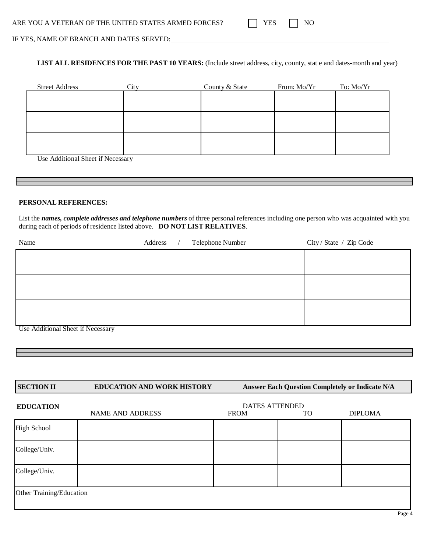| ARE YOU A VETERAN OF THE UNITED STATES ARMED FORCES? |  |  |  |  |
|------------------------------------------------------|--|--|--|--|
|------------------------------------------------------|--|--|--|--|

|  | ↘ |
|--|---|

IF YES, NAME OF BRANCH AND DATES SERVED:

**LIST ALL RESIDENCES FOR THE PAST 10 YEARS:** (Include street address, city, county, stat e and dates-month and year)

| City | County & State | From: Mo/Yr | To: Mo/Yr |
|------|----------------|-------------|-----------|
|      |                |             |           |
|      |                |             |           |
|      |                |             |           |
|      |                |             |           |
|      |                |             |           |
|      |                |             |           |
|      |                |             |           |

Use Additional Sheet if Necessary

#### **PERSONAL REFERENCES:**

List the *names, complete addresses and telephone numbers* of three personal references including one person who was acquainted with you during each of periods of residence listed above. **DO NOT LIST RELATIVES**.

| Name                              | Telephone Number<br>Address<br>$\frac{1}{2}$ | City / State / Zip Code |
|-----------------------------------|----------------------------------------------|-------------------------|
|                                   |                                              |                         |
|                                   |                                              |                         |
|                                   |                                              |                         |
|                                   |                                              |                         |
|                                   |                                              |                         |
|                                   |                                              |                         |
|                                   |                                              |                         |
| Use Additional Sheet if Necessary |                                              |                         |

| <b>SECTION II</b>        | <b>EDUCATION AND WORK HISTORY</b> | <b>Answer Each Question Completely or Indicate N/A</b>        |  |  |  |
|--------------------------|-----------------------------------|---------------------------------------------------------------|--|--|--|
| <b>EDUCATION</b>         | <b>NAME AND ADDRESS</b>           | <b>DATES ATTENDED</b><br>TO.<br><b>DIPLOMA</b><br><b>FROM</b> |  |  |  |
| <b>High School</b>       |                                   |                                                               |  |  |  |
| College/Univ.            |                                   |                                                               |  |  |  |
| College/Univ.            |                                   |                                                               |  |  |  |
| Other Training/Education |                                   |                                                               |  |  |  |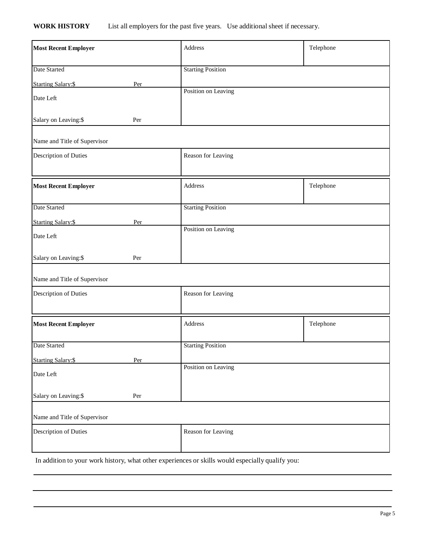## **WORK HISTORY** List all employers for the past five years. Use additional sheet if necessary.

| <b>Most Recent Employer</b>       | Address                  | Telephone |
|-----------------------------------|--------------------------|-----------|
| Date Started                      | <b>Starting Position</b> |           |
| <b>Starting Salary:\$</b><br>Per  | Position on Leaving      |           |
| Date Left                         |                          |           |
| Salary on Leaving:\$<br>Per       |                          |           |
| Name and Title of Supervisor      |                          |           |
| Description of Duties             | Reason for Leaving       |           |
| <b>Most Recent Employer</b>       | Address                  | Telephone |
| Date Started                      | <b>Starting Position</b> |           |
| <b>Starting Salary: \$</b><br>Per | Position on Leaving      |           |
| Date Left                         |                          |           |
| Salary on Leaving:\$<br>Per       |                          |           |
| Name and Title of Supervisor      |                          |           |
| Description of Duties             | Reason for Leaving       |           |
| <b>Most Recent Employer</b>       | Address                  | Telephone |
| Date Started                      | <b>Starting Position</b> |           |
| <b>Starting Salary:\$</b><br>Per  | Position on Leaving      |           |
| Date Left                         |                          |           |
| Salary on Leaving:\$<br>Per       |                          |           |
| Name and Title of Supervisor      |                          |           |
| Description of Duties             | Reason for Leaving       |           |

In addition to your work history, what other experiences or skills would especially qualify you: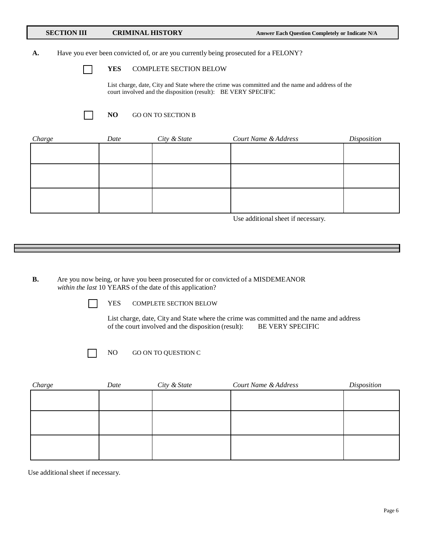#### **SECTION III CRIMINAL HISTORY Answer Each Question Completely or Indicate N/A**

#### **A.** Have you ever been convicted of, or are you currently being prosecuted for a FELONY?

 $\mathbf{1}$ 

#### **YES** COMPLETE SECTION BELOW

List charge, date, City and State where the crime was committed and the name and address of the court involved and the disposition (result): BE VERY SPECIFIC

- 1

#### **NO** GO ON TO SECTION B

| Charge | Date | City & State | Court Name & Address | Disposition |
|--------|------|--------------|----------------------|-------------|
|        |      |              |                      |             |
|        |      |              |                      |             |
|        |      |              |                      |             |
|        |      |              |                      |             |
|        |      |              |                      |             |
|        |      |              |                      |             |
|        |      |              |                      |             |

Use additional sheet if necessary.

**B.** Are you now being, or have you been prosecuted for or convicted of a MISDEMEANOR *within the last* 10 YEARS of the date of this application?

YES COMPLETE SECTION BELOW

List charge, date, City and State where the crime was committed and the name and address of the court involved and the disposition (result): BE VERY SPECIFIC

NO GO ON TO QUESTION C

| Charge | Date | City & State | Court Name & Address | Disposition |
|--------|------|--------------|----------------------|-------------|
|        |      |              |                      |             |
|        |      |              |                      |             |
|        |      |              |                      |             |
|        |      |              |                      |             |
|        |      |              |                      |             |
|        |      |              |                      |             |
|        |      |              |                      |             |

Use additional sheet if necessary.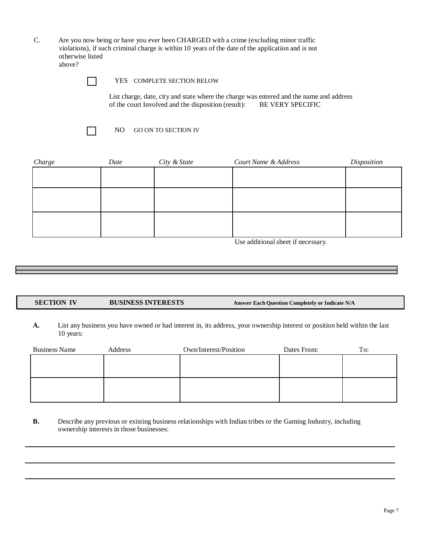C. Are you now being or have you ever been CHARGED with a crime (excluding minor traffic violations), if such criminal charge is within 10 years of the date of the application and is not otherwise listed above?

 $\Box$ 

YES COMPLETE SECTION BELOW

List charge, date, city and state where the charge was entered and the name and address of the court Involved and the disposition (result): BE VERY SPECIFIC

 $\blacksquare$ 

NO GO ON TO SECTION IV

| Charge | Date | City & State | Court Name & Address | Disposition |
|--------|------|--------------|----------------------|-------------|
|        |      |              |                      |             |
|        |      |              |                      |             |
|        |      |              |                      |             |
|        |      |              |                      |             |
|        |      |              |                      |             |
|        |      |              |                      |             |
|        |      |              |                      |             |

Use additional sheet if necessary.

#### **SECTION IV BUSINESS INTERESTS Answer Each Question Completely or Indicate N/A**

**A.** List any business you have owned or had interest in, its address, your ownership interest or position held within the last 10 years:

| <b>Business Name</b> | Address | Own/Interest/Position | Dates From: | To: |
|----------------------|---------|-----------------------|-------------|-----|
|                      |         |                       |             |     |
|                      |         |                       |             |     |
|                      |         |                       |             |     |
|                      |         |                       |             |     |
|                      |         |                       |             |     |
|                      |         |                       |             |     |

**B.** Describe any previous or existing business relationships with Indian tribes or the Gaming Industry, including ownership interests in those businesses: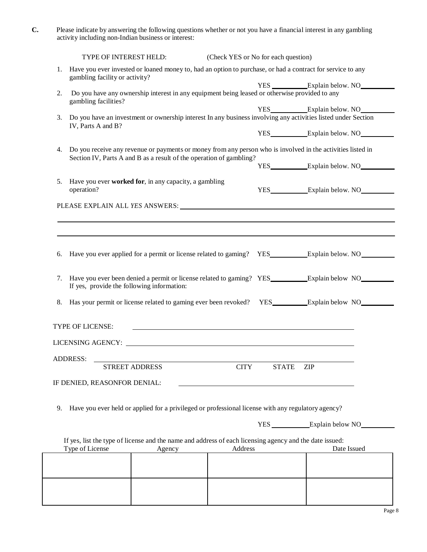| U. | Please indicate by answering the following questions whether or not you have a financial interest in any gambling |
|----|-------------------------------------------------------------------------------------------------------------------|
|    | activity including non-Indian business or interest:                                                               |

|    | TYPE OF INTEREST HELD:                                                                                                                                                             |                                                                                                                   | (Check YES or No for each question) |                       |                                                                                                               |
|----|------------------------------------------------------------------------------------------------------------------------------------------------------------------------------------|-------------------------------------------------------------------------------------------------------------------|-------------------------------------|-----------------------|---------------------------------------------------------------------------------------------------------------|
| 1. | gambling facility or activity?                                                                                                                                                     | Have you ever invested or loaned money to, had an option to purchase, or had a contract for service to any        |                                     |                       |                                                                                                               |
|    |                                                                                                                                                                                    |                                                                                                                   |                                     |                       | YES _____________Explain below. NO                                                                            |
| 2. | gambling facilities?                                                                                                                                                               | Do you have any ownership interest in any equipment being leased or otherwise provided to any                     |                                     |                       |                                                                                                               |
| 3. |                                                                                                                                                                                    |                                                                                                                   |                                     |                       | Do you have an investment or ownership interest In any business involving any activities listed under Section |
|    | IV, Parts A and B?                                                                                                                                                                 |                                                                                                                   |                                     | YES Explain below. NO |                                                                                                               |
| 4. | Do you receive any revenue or payments or money from any person who is involved in the activities listed in<br>Section IV, Parts A and B as a result of the operation of gambling? |                                                                                                                   |                                     |                       |                                                                                                               |
|    |                                                                                                                                                                                    |                                                                                                                   |                                     |                       |                                                                                                               |
| 5. | operation?                                                                                                                                                                         | Have you ever worked for, in any capacity, a gambling                                                             |                                     |                       | YES Explain below. NO                                                                                         |
|    |                                                                                                                                                                                    |                                                                                                                   |                                     |                       |                                                                                                               |
|    |                                                                                                                                                                                    |                                                                                                                   |                                     |                       |                                                                                                               |
| 7. | If yes, provide the following information:                                                                                                                                         |                                                                                                                   |                                     |                       | Have you ever been denied a permit or license related to gaming? YES Explain below NO                         |
| 8. |                                                                                                                                                                                    |                                                                                                                   |                                     |                       | Has your permit or license related to gaming ever been revoked? YES_________Explain below NO_______           |
|    | TYPE OF LICENSE:                                                                                                                                                                   |                                                                                                                   |                                     |                       |                                                                                                               |
|    |                                                                                                                                                                                    |                                                                                                                   |                                     |                       |                                                                                                               |
|    | <b>ADDRESS:</b>                                                                                                                                                                    |                                                                                                                   |                                     |                       |                                                                                                               |
|    |                                                                                                                                                                                    | STREET ADDRESS                                                                                                    | <b>CITY</b>                         | <b>STATE</b>          | <b>ZIP</b>                                                                                                    |
|    | IF DENIED, REASONFOR DENIAL:                                                                                                                                                       |                                                                                                                   |                                     |                       |                                                                                                               |
| 9. |                                                                                                                                                                                    | Have you ever held or applied for a privileged or professional license with any regulatory agency?                |                                     |                       |                                                                                                               |
|    |                                                                                                                                                                                    |                                                                                                                   |                                     |                       | YES Explain below NO                                                                                          |
|    |                                                                                                                                                                                    |                                                                                                                   |                                     |                       |                                                                                                               |
|    | Type of License                                                                                                                                                                    | If yes, list the type of license and the name and address of each licensing agency and the date issued:<br>Agency | Address                             |                       | Date Issued                                                                                                   |
|    |                                                                                                                                                                                    |                                                                                                                   |                                     |                       |                                                                                                               |
|    |                                                                                                                                                                                    |                                                                                                                   |                                     |                       |                                                                                                               |
|    |                                                                                                                                                                                    |                                                                                                                   |                                     |                       |                                                                                                               |
|    |                                                                                                                                                                                    |                                                                                                                   |                                     |                       |                                                                                                               |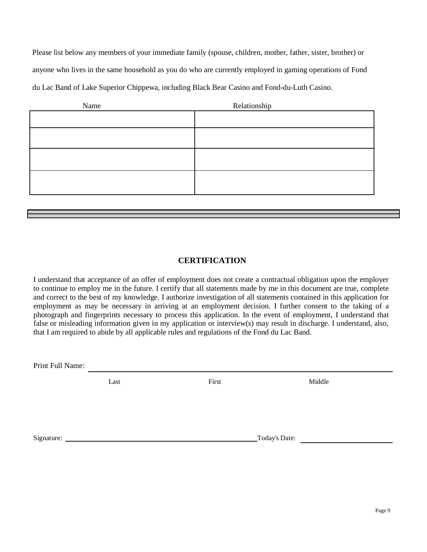Please list below any members of your immediate family (spouse, children, mother, father, sister, brother) or anyone who lives in the same household as you do who are currently employed in gaming operations of Fond du Lac Band of Lake Superior Chippewa, including Black Bear Casino and Fond-du-Luth Casino.

| Name | Relationship |
|------|--------------|
|      |              |
|      |              |
|      |              |
|      |              |
|      |              |

## **CERTIFICATION**

I understand that acceptance of an offer of employment does not create a contractual obligation upon the employer to continue to employ me in the future. I certify that all statements made by me in this document are true, complete and correct to the best of my knowledge. I authorize investigation of all statements contained in this application for employment as may be necessary in arriving at an employment decision. I further consent to the taking of a photograph and fingerprints necessary to process this application. In the event of employment, I understand that false or misleading information given in my application or interview(s) may result in discharge. I understand, also, that I am required to abide by all applicable rules and regulations of the Fond du Lac Band.

Print Full Name:

Last First First Middle

Signature: Today's Date: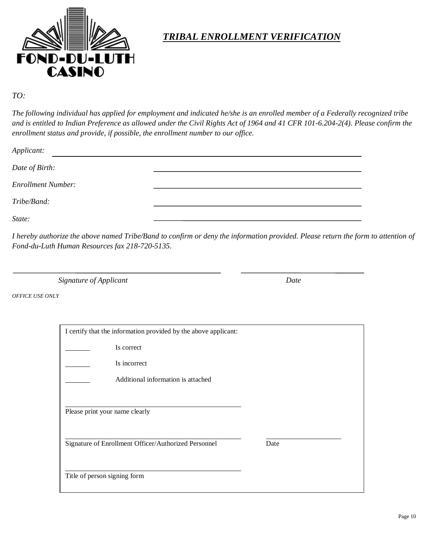

# *TRIBAL ENROLLMENT VERIFICATION*

## *TO:*

*The following individual has applied for employment and indicated he/she is an enrolled member of a Federally recognized tribe and is entitled to Indian Preference as allowed under the Civil Rights Act of 1964 and 41 CFR 101-6.204-2(4). Please confirm the enrollment status and provide, if possible, the enrollment number to our office.*

| Applicant:                |  |  |  |  |
|---------------------------|--|--|--|--|
| Date of Birth:            |  |  |  |  |
| <b>Enrollment Number:</b> |  |  |  |  |
| Tribe/Band:               |  |  |  |  |
| State:                    |  |  |  |  |

*I hereby authorize the above named Tribe/Band to confirm or deny the information provided. Please return the form to attention of Fond-du-Luth Human Resources fax 218-720-5135.*

**Signature of Applicant** Date

*OFFICE USE ONLY*

| I certify that the information provided by the above applicant: |                                    |      |  |
|-----------------------------------------------------------------|------------------------------------|------|--|
|                                                                 | Is correct                         |      |  |
|                                                                 | Is incorrect                       |      |  |
|                                                                 | Additional information is attached |      |  |
|                                                                 |                                    |      |  |
| Please print your name clearly                                  |                                    |      |  |
|                                                                 |                                    |      |  |
| Signature of Enrollment Officer/Authorized Personnel            |                                    | Date |  |
|                                                                 |                                    |      |  |
| Title of person signing form                                    |                                    |      |  |
|                                                                 |                                    |      |  |